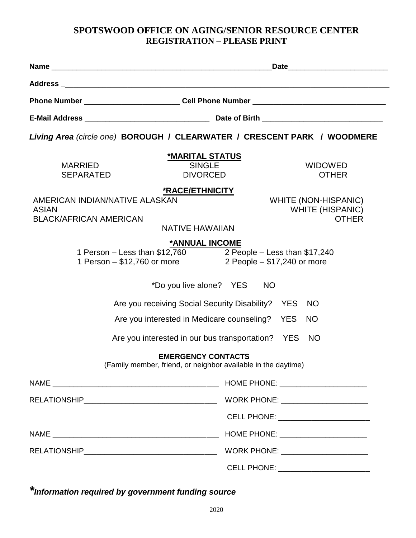## **SPOTSWOOD OFFICE ON AGING/SENIOR RESOURCE CENTER REGISTRATION – PLEASE PRINT**

| Living Area (circle one) BOROUGH / CLEARWATER / CRESCENT PARK / WOODMERE                                                                 |                                                                        |  |
|------------------------------------------------------------------------------------------------------------------------------------------|------------------------------------------------------------------------|--|
| *MARITAL STATUS<br><b>SINGLE</b><br><b>MARRIED</b><br><b>DIVORCED</b><br><b>SEPARATED</b>                                                | <b>WIDOWED</b><br><b>OTHER</b>                                         |  |
| *RACE/ETHNICITY<br>AMERICAN INDIAN/NATIVE ALASKAN<br><b>ASIAN</b><br><b>BLACK/AFRICAN AMERICAN</b><br><b>NATIVE HAWAIIAN</b>             | <b>WHITE (NON-HISPANIC)</b><br><b>WHITE (HISPANIC)</b><br><b>OTHER</b> |  |
| *ANNUAL INCOME<br>1 Person - Less than \$12,760 2 People - Less than \$17,240<br>1 Person – \$12,760 or more 2 People – \$17,240 or more |                                                                        |  |
| *Do you live alone? YES                                                                                                                  | <b>NO</b>                                                              |  |
| Are you receiving Social Security Disability?<br><b>YES</b><br>NO                                                                        |                                                                        |  |
| <b>YES</b><br>Are you interested in Medicare counseling?<br><b>NO</b>                                                                    |                                                                        |  |
|                                                                                                                                          | Are you interested in our bus transportation? YES NO                   |  |
| <b>EMERGENCY CONTACTS</b><br>(Family member, friend, or neighbor available in the daytime)                                               |                                                                        |  |
|                                                                                                                                          |                                                                        |  |
|                                                                                                                                          | WORK PHONE: _______________________                                    |  |
|                                                                                                                                          | CELL PHONE: _________________________                                  |  |
|                                                                                                                                          | HOME PHONE: _______________________                                    |  |
|                                                                                                                                          | WORK PHONE: _______________________                                    |  |
|                                                                                                                                          | CELL PHONE: _________________________                                  |  |

*\*Information required by government funding source*